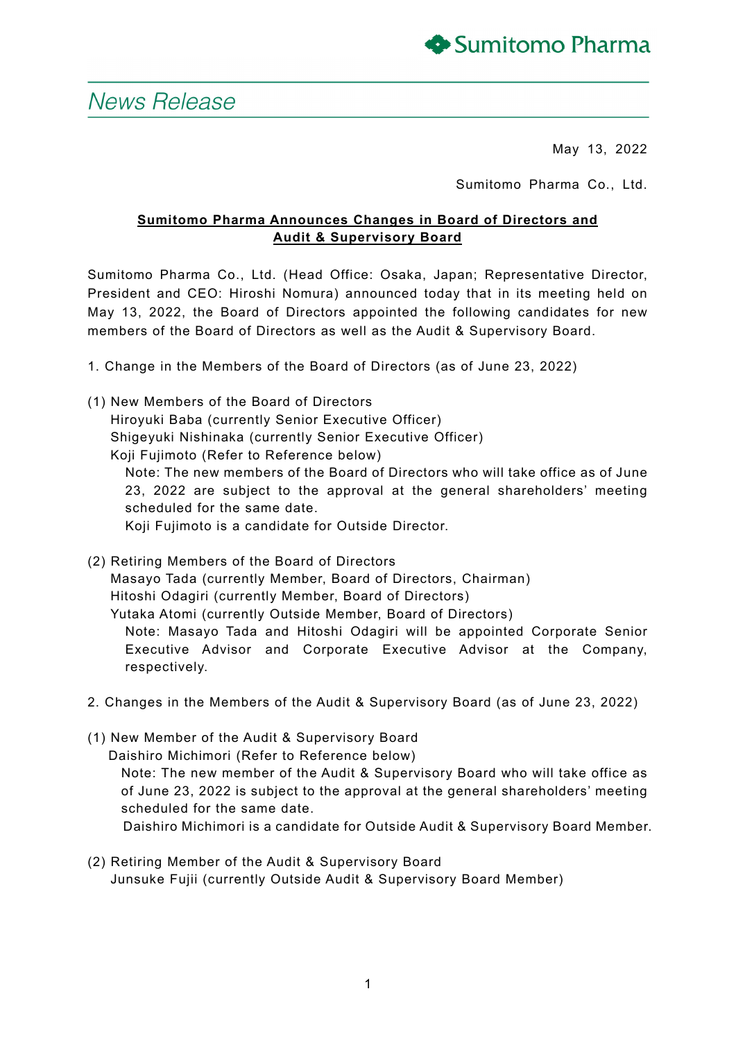

# News Release

May 13, 2022

Sumitomo Pharma Co., Ltd.

## **Sumitomo Pharma Announces Changes in Board of Directors and Audit & Supervisory Board**

Sumitomo Pharma Co., Ltd. (Head Office: Osaka, Japan; Representative Director, President and CEO: Hiroshi Nomura) announced today that in its meeting held on May 13, 2022, the Board of Directors appointed the following candidates for new members of the Board of Directors as well as the Audit & Supervisory Board.

- 1. Change in the Members of the Board of Directors (as of June 23, 2022)
- (1) New Members of the Board of Directors Hiroyuki Baba (currently Senior Executive Officer) Shigeyuki Nishinaka (currently Senior Executive Officer) Koji Fujimoto (Refer to Reference below) Note: The new members of the Board of Directors who will take office as of June 23, 2022 are subject to the approval at the general shareholders' meeting scheduled for the same date. Koji Fujimoto is a candidate for Outside Director.
- (2) Retiring Members of the Board of Directors Masayo Tada (currently Member, Board of Directors, Chairman) Hitoshi Odagiri (currently Member, Board of Directors) Yutaka Atomi (currently Outside Member, Board of Directors) Note: Masayo Tada and Hitoshi Odagiri will be appointed Corporate Senior Executive Advisor and Corporate Executive Advisor at the Company, respectively.
- 2. Changes in the Members of the Audit & Supervisory Board (as of June 23, 2022)
- (1) New Member of the Audit & Supervisory Board Daishiro Michimori (Refer to Reference below) Note: The new member of the Audit & Supervisory Board who will take office as of June 23, 2022 is subject to the approval at the general shareholders' meeting scheduled for the same date. Daishiro Michimori is a candidate for Outside Audit & Supervisory Board Member.
- (2) Retiring Member of the Audit & Supervisory Board Junsuke Fujii (currently Outside Audit & Supervisory Board Member)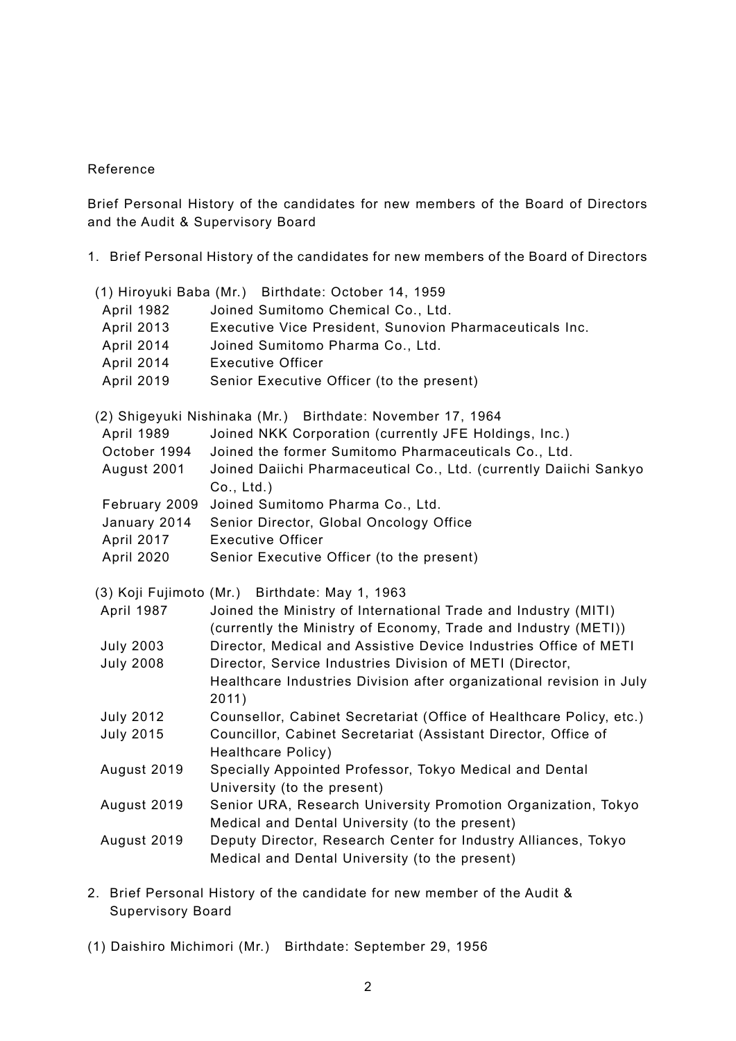### Reference

Brief Personal History of the candidates for new members of the Board of Directors and the Audit & Supervisory Board

1. Brief Personal History of the candidates for new members of the Board of Directors

|                   | (1) Hiroyuki Baba (Mr.) Birthdate: October 14, 1959                                                                                |
|-------------------|------------------------------------------------------------------------------------------------------------------------------------|
| April 1982        | Joined Sumitomo Chemical Co., Ltd.                                                                                                 |
| <b>April 2013</b> | Executive Vice President, Sunovion Pharmaceuticals Inc.                                                                            |
| April 2014        | Joined Sumitomo Pharma Co., Ltd.                                                                                                   |
| April 2014        | <b>Executive Officer</b>                                                                                                           |
| <b>April 2019</b> | Senior Executive Officer (to the present)                                                                                          |
|                   | (2) Shigeyuki Nishinaka (Mr.) Birthdate: November 17, 1964                                                                         |
| <b>April 1989</b> | Joined NKK Corporation (currently JFE Holdings, Inc.)                                                                              |
| October 1994      | Joined the former Sumitomo Pharmaceuticals Co., Ltd.                                                                               |
| August 2001       | Joined Daiichi Pharmaceutical Co., Ltd. (currently Daiichi Sankyo<br>Co., Ltd.)                                                    |
| February 2009     | Joined Sumitomo Pharma Co., Ltd.                                                                                                   |
| January 2014      | Senior Director, Global Oncology Office                                                                                            |
| April 2017        | <b>Executive Officer</b>                                                                                                           |
| April 2020        | Senior Executive Officer (to the present)                                                                                          |
|                   |                                                                                                                                    |
|                   |                                                                                                                                    |
|                   | (3) Koji Fujimoto (Mr.) Birthdate: May 1, 1963                                                                                     |
| April 1987        | Joined the Ministry of International Trade and Industry (MITI)                                                                     |
| <b>July 2003</b>  | (currently the Ministry of Economy, Trade and Industry (METI))<br>Director, Medical and Assistive Device Industries Office of METI |
| <b>July 2008</b>  | Director, Service Industries Division of METI (Director,                                                                           |
|                   | Healthcare Industries Division after organizational revision in July                                                               |
|                   | 2011)                                                                                                                              |
| <b>July 2012</b>  | Counsellor, Cabinet Secretariat (Office of Healthcare Policy, etc.)                                                                |
| <b>July 2015</b>  | Councillor, Cabinet Secretariat (Assistant Director, Office of                                                                     |
|                   | <b>Healthcare Policy)</b>                                                                                                          |
| August 2019       | Specially Appointed Professor, Tokyo Medical and Dental<br>University (to the present)                                             |
| August 2019       | Senior URA, Research University Promotion Organization, Tokyo                                                                      |
|                   | Medical and Dental University (to the present)                                                                                     |
| August 2019       | Deputy Director, Research Center for Industry Alliances, Tokyo                                                                     |
|                   | Medical and Dental University (to the present)                                                                                     |

- 2. Brief Personal History of the candidate for new member of the Audit & Supervisory Board
- (1) Daishiro Michimori (Mr.) Birthdate: September 29, 1956